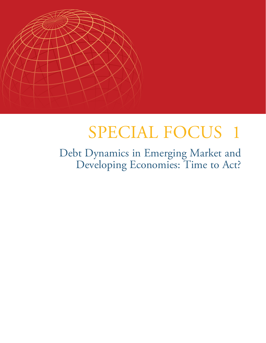

# SPECIAL FOCUS 1

Debt Dynamics in Emerging Market and Developing Economies: Time to Act?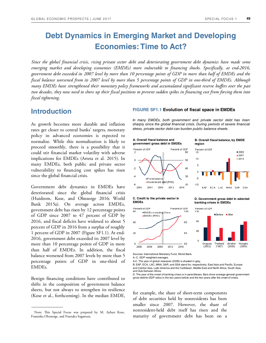# **Debt Dynamics in Emerging Market and Developing Economies: Time to Act?**

*Since the global financial crisis, rising private sector debt and deteriorating government debt dynamics have made some emerging market and developing economies (EMDEs) more vulnerable to financing shocks. Specifically, at end-2016, government debt exceeded its 2007 level by more than 10 percentage points of GDP in more than half of EMDEs and the fiscal balance worsened from its 2007 level by more than 5 percentage points of GDP in one-third of EMDEs. Although many EMDEs have strengthened their monetary policy frameworks and accumulated significant reserve buffers over the past two decades, they now need to shore up their fiscal positions to prevent sudden spikes in financing cost from forcing them into fiscal tightening*.

## **Introduction**

As growth becomes more durable and inflation rates get closer to central banks' targets, monetary policy in advanced economies is expected to normalize. While this normalization is likely to proceed smoothly, there is a possibility that it could stir financial market volatility with adverse implications for EMDEs (Arteta et al. 2015). In many EMDEs, both public and private sector vulnerability to financing cost spikes has risen since the global financial crisis.

Government debt dynamics in EMDEs have deteriorated since the global financial crisis (Huidrom, Kose, and Ohnsorge 2016; World Bank 2015a). On average across EMDEs, government debt has risen by 12 percentage points of GDP since 2007 to 47 percent of GDP by 2016, and fiscal deficits have widened to about 5 percent of GDP in 2016 from a surplus of roughly 1 percent of GDP in 2007 (Figure SF1.1). At end-2016, government debt exceeded its 2007 level by more than 10 percentage points of GDP in more than half of EMDEs. In addition, the fiscal balance worsened from 2007 levels by more than 5 percentage points of GDP in one-third of EMDEs.

Benign financing conditions have contributed to shifts in the composition of government balance sheets, but not always to strengthen its resilience (Kose et al., forthcoming). In the median EMDE, for example, the share of short-term components

#### **FIGURE SF1.1 Evolution of fiscal space in EMDEs**

In many EMDEs, both government and private sector debt has risen sharply since the global financial crisis. During periods of severe financial stress, private sector debt can burden public balance sheets.

**A. Overall fiscal balance and government gross debt in EMDEs**



#### **B. Overall fiscal balance, by EMDE region**



#### **C. Credit to the private sector in EMDEs**



#### **D. Government gross debt in selected banking crises in EMDEs**

 $(2008)$ 

Percent of GDF  $120$ ■Before ■After 80 4n  $\mathbf{r}$ Ukraine Uruguay Thailand  $(2002)$ r1997)  $(2008)$ 

Sources: International Monetary Fund, World Bank. A.-C. GDP-weighted averages.

A.C. The year of global recession (2009) is shaded in gray.

D. The year of the onset of banking crises is in parentheses. Bars show average general government gross debt-to-GDP ratios in the two years before and the two years after the onset of crises.

of debt securities held by nonresidents has been smaller since 2007. However, the share of nonresident-held debt itself has risen and the maturity of government debt has been on a

Note: This Special Focus was prepared by M. Ayhan Kose, Franziska Ohnsorge, and Naotaka Sugawara.

B. EAP, ECA, LAC, MNA, SAR, and SSA stand for, respectively, East Asia and Pacific, Europe and Central Asia, Latin America and the Caribbean, Middle East and North Africa, South Asia, and Sub-Saharan Africa.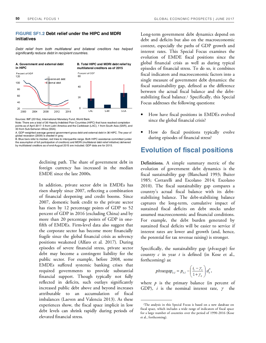## **FIGURE SF1.2 Debt relief under the HIPC and MDRI initiatives**

Debt relief from both multilateral and bilateral creditors has helped significantly reduce debt in recipient countries.



Sources: IMF (2016a), International Monetary Fund, World Bank.

declining path. The share of government debt in foreign currency has increased in the median EMDE since the late 2000s.

In addition, private sector debt in EMDEs has risen sharply since 2007, reflecting a combination of financial deepening and credit booms. Since 2007, domestic bank credit to the private sector has risen by 12 percentage points of GDP to 52 percent of GDP in 2016 (excluding China) and by more than 20 percentage points of GDP in onefifth of EMDEs. Firm-level data also suggest that the corporate sector has become more financially fragile since the global financial crisis as solvency positions weakened (Alfaro et al. 2017). During episodes of severe financial stress, private sector debt may become a contingent liability for the public sector. For example, before 2008, some EMDEs suffered systemic banking crises that required governments to provide substantial financial support. Though typically not fully reflected in deficits, such outlays significantly increased public debt above and beyond increases attributable to an accumulation of fiscal imbalances (Laeven and Valencia 2013). As these experiences show, the fiscal space implicit in low debt levels can shrink rapidly during periods of elevated financial stress.

Long-term government debt dynamics depend on debt and deficits but also on the macroeconomic context, especially the paths of GDP growth and interest rates. This Special Focus examines the evolution of EMDE fiscal positions since the global financial crisis as well as during typical episodes of financial stress. To do so, it combines fiscal indicators and macroeconomic factors into a single measure of government debt dynamics: the fiscal sustainability gap, defined as the difference between the actual fiscal balance and the debtstabilizing fiscal balance.<sup>1</sup> Specifically, this Special Focus addresses the following questions:

- How have fiscal positions in EMDEs evolved since the global financial crisis?
- How do fiscal positions typically evolve during episodes of financial stress?

# **Evolution of fiscal positions**

**Definitions.** A simple summary metric of the evolution of government debt dynamics is the fiscal sustainability gap (Blanchard 1993; Buiter 1985; Cottarelli and Escolano 2014; Escolano 2010). The fiscal sustainability gap compares a country's actual fiscal balance with its debtstabilizing balance. The debt-stabilizing balance captures the long-term, cumulative impact of sustained fiscal deficits on debt stocks under assumed macroeconomic and financial conditions. For example, the debt burden generated by sustained fiscal deficits will be easier to service if interest rates are lower and growth (and, hence, the potential for tax revenue raising) is stronger.

Specifically, the sustainability gap (*pbsusgap*) for country *c* in year *t* is defined (in Kose et al., forthcoming) as:

$$
pbsusgap_{c,t} = p_{c,t} - \left(\frac{i_c - \gamma_c}{1 + \gamma_c}\right) d_c^*,
$$

where  $p$  is the primary balance (in percent of GDP),  $i$  is the nominal interest rate,  $\gamma$  the

Note: There are a total of 36 Heavily Indebted Poor Countries (HIPC) that have reached completion points as of April 2017: 5 from Latin America and the Caribbean (LAC), 1 from South Asia (SAR), and 30 from Sub-Saharan Africa (SSA).

A. GDP-weighted average general government gross debt and external debt in 36 HIPC. The year of global recession (2009) is shaded in gray.

B. Blue bars refer to median, red lines to interquartile range. Both HIPC assistance committed (under the assumption of full participation of creditors) and MDRI (multilateral debt relief initiative) delivered by multilateral creditors as of end-August 2015 are included. GDP data are for 2015.

<sup>1</sup>The analysis in this Special Focus is based on a new database on fiscal space, which includes a wide range of indicators of fiscal space for a large number of countries over the period of 1990-2016 (Kose et al., forthcoming).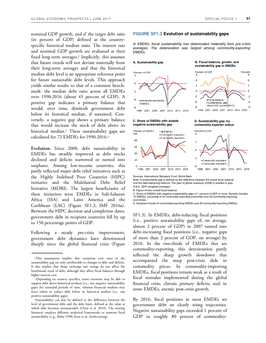nominal GDP growth, and *d\** the target debt ratio (in percent of GDP) defined as the countryspecific historical median ratio. The interest rate and nominal GDP growth are evaluated at their fixed long-term averages.<sup>2</sup> Implicitly, this assumes that future trends will not deviate materially from their long-term averages and that the historical median debt level is an appropriate reference point for future sustainable debt levels. This approach yields similar results to that of a common benchmark: the median debt ratio across all EMDEs over 1990-2016 (about 45 percent of GDP). A positive gap indicates a primary balance that would, over time, diminish government debt below its historical median, if sustained. Conversely, a negative gap shows a primary balance that would increase the stock of debt above its historical median.<sup>3</sup> These sustainability gaps are calculated for 72 EMDEs for 1990-2016.<sup>4</sup>

**Evolution.** Since 2000, debt sustainability in EMDEs has steadily improved as debt stocks declined and deficits narrowed or turned into surpluses. Among low-income countries, this partly reflected major debt relief initiatives such as the Highly Indebted Poor Countries (HIPC) initiative and the Multilateral Debt Relief Initiative (MDRI). The largest beneficiaries of these initiatives were EMDEs in Sub-Saharan Africa (SSA) and Latin America and the Caribbean (LAC) (Figure SF1.2; IMF 2016a). Between the HIPC decision and completion dates, government debt in recipient countries fell by up to 150 percentage points of GDP.

Following a steady pre-crisis improvement, government debt dynamics have deteriorated sharply since the global financial crisis (Figure

#### **FIGURE SF1.3 Evolution of sustainability gaps**

In EMDEs, fiscal sustainability has deteriorated materially from pre-crisis averages. The deterioration was largest among commodity-exporting EMDEs.

**A. Sustainability gap** 



**negative sustainability gap** 

**B. Fiscal balance, growth, and sustainability gap in EMDEs** 



**commodity exporter status**



Sources: International Monetary Fund, World Bank.

Note: A sustainability gap is defined as the difference between the actual fiscal balance and the debt-stabilizing balance. The year of global recession (2009) is shaded in gray. A.B.D. GDP-weighted averages.

B. Figure shows overall fiscal balance.

C. Share of EMDEs with negative sustainability gaps of 1 percent of GDP or more. Sample includes 72 EMDEs, consisting of 44 commodity-exporting economies and 28 commodity-importing economies.

D. Samples include 44 commodity-exporting EMDEs and 28 commodity-importing EMDEs.

SF1.3). In EMDEs, debt-reducing fiscal positions (i.e., positive sustainability gaps of, on average, almost 2 percent of GDP) in 2007 turned into debt-increasing fiscal positions (i.e., negative gaps of more than 2 percent of GDP, on average) by 2016. In the two-thirds of EMDEs that are commodity-exporting, this deterioration partly reflected the sharp growth slowdown that accompanied the steep post-crisis slide in commodity prices. In commodity-importing EMDEs, fiscal positions remain weak as a result of fiscal stimulus implemented during the global financial crisis, chronic primary deficits, and, in some EMDEs, anemic post-crisis growth.

By 2016, fiscal positions in most EMDEs set government debt on clearly rising trajectories. Negative sustainability gaps exceeded 1 percent of GDP in roughly 80 percent of commodity9

 $\mathbf{6}$ k,

 $\ddot{\mathbf{0}}$ 

 $\overline{a}$ 

-6

L,

<sup>2</sup>This assumption implies that variations over time in the sustainability gap are only attributable to changes in debt and deficits. It also implies that sharp exchange rate swings do not affect the benchmark stock of debt, although they affect fiscal balances through higher interest cost.

<sup>3</sup>Depending on country specifics, some countries may be able to support debt above historical medians (i.e., run negative sustainability gaps) for extended periods of time, whereas financial markets may force others to reduce debt below its historical median (i.e., run positive sustainability gaps).

<sup>4</sup>Sustainability can also be defined as the difference between the level of government debt and the debt limit, defined as the value at which debt becomes unsustainable (Ostry et al. 2010). The existing literature employs different analytical frameworks to examine fiscal sustainability (e.g., Bohn 1998; Kose et al., forthcoming).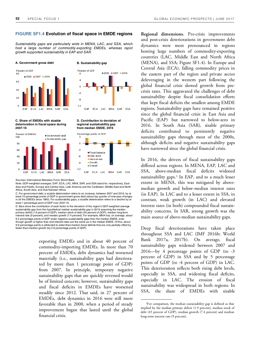#### **FIGURE SF1.4 Evolution of fiscal space in EMDE regions**

Sustainability gaps are particularly wide in MENA, LAC, and SSA, which host a large number of commodity-exporting EMDEs, whereas rapid growth supported sustainability in EAP and SAR.



**C. Share of EMDEs with sizable deterioration in fiscal space during 2007-16** 



Sources: International Monetary Fund, World Bank.

Note: GDP-weighted averages. EAP, ECA, LAC, MNA, SAR, and SSA stand for, respectively, East Asia and Pacific, Europe and Central Asia, Latin America and the Caribbean, Middle East and North Africa, South Asia, and Sub-Saharan Africa.

**regional sustainability gap from median EMDE, 2016**

C. For government debt, a sizable deterioration refers to an increase, between 2007 and 2016, by at least 10 percentage points of GDP in government gross debt (about top quarter of nine-year changes in all the EMDEs since 1990). For sustainability gaps, a sizable deterioration refers to a decline by at least 1 percentage point of GDP over 2007-16.

D. Bars show the contribution of each factor to the deviation of the region's GDP-weighted average sustainability gap from the hypothetical median sustainability gap in 2016 assuming the median primary deficit (1.9 percent of GDP), median stock of debt (45 percent of GDP), median long-term interest rate (9 percent), and median growth (7.4 percent). For example, MNA has, on average, about 9.2 percentage points of GDP wider negative sustainability gaps than the median EMDE, even though growth is higher than and interest rates are the same as in the median EMDE. Of this, about 9.9 percentage points is attributed to wider-than-median fiscal deficits that are only partially offset by faster-than-median growth (by 0.9 percentage points of GDP).

> exporting EMDEs and in about 40 percent of commodity-importing EMDEs. In more than 70 percent of EMDEs, debt dynamics had worsened materially (i.e., sustainability gaps had deteriorated by more than 1 percentage point of GDP) from 2007. In principle, temporary negative sustainability gaps that are quickly reversed would be of limited concern; however, sustainability gaps and fiscal deficits in EMDEs have worsened steadily since 2012. That said, in 27 percent of EMDEs, debt dynamics in 2016 were still more favorable than in 2000, when a period of steady improvement began that lasted until the global financial crisis.

**Regional dimensions.** Pre-crisis improvements and post-crisis deteriorations in government debt dynamics were most pronounced in regions hosting large numbers of commodity-exporting countries (LAC, Middle East and North Africa (MENA), and SSA; Figure SF1.4). In Europe and Central Asia (ECA), falling commodity prices in the eastern part of the region and private sector deleveraging in the western part following the global financial crisis slowed growth from precrisis rates. This aggravated the challenges of debt sustainability despite fiscal consolidation efforts that kept fiscal deficits the smallest among EMDE regions. Sustainability gaps have remained positive since the global financial crisis in East Asia and Pacific (EAP) but narrowed to below-zero in 2016. In South Asia (SAR), sizable primary deficits contributed to persistently negative sustainability gaps through most of the 2000s, although deficits and negative sustainability gaps have narrowed since the global financial crisis.

In 2016, the drivers of fiscal sustainability gaps differed across regions. In MENA, EAP, LAC and SSA, above-median fiscal deficits widened sustainability gaps.<sup>5</sup> In EAP, and to a much lesser extent in MENA, this was mitigated by abovemedian growth and below-median interest rates (in EAP). In LAC and to a lesser extent in SSA, in contrast, weak growth (in LAC) and elevated interest rates (in both) compounded fiscal sustainability concerns. In SAR, strong growth was the main source of above-median sustainability gaps.

Deep fiscal deteriorations have taken place throughout SSA and LAC (IMF 2016b; World Bank 2017a, 2017b). On average, fiscal sustainability gaps widened between 2007 and 2016—by 4 percentage points of GDP (to -3 percent of GDP) in SSA and by 5 percentage points of GDP (to -4 percent of GDP) in LAC. This deterioration reflects both rising debt levels, especially in SSA, and widening fiscal deficits, especially in LAC. The erosion of fiscal sustainability was widespread in both regions: In SSA, the share of EMDEs with sizable

<sup>&</sup>lt;sup>5</sup>For comparison, the median sustainability gap is defined as that implied by the median primary deficit (1.9 percent), median stock of debt (45 percent of GDP), median growth (7.4 percent) and median long-term interest rate (9 percent).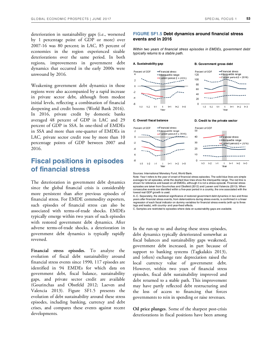deterioration in sustainability gaps (i.e., worsened by 1 percentage point of GDP or more) over 2007-16 was 80 percent; in LAC, 85 percent of economies in the region experienced sizable deteriorations over the same period. In both regions, improvements in government debt dynamics that occurred in the early 2000s were unwound by 2016.

Weakening government debt dynamics in those regions were also accompanied by a rapid increase in private sector debt, although from modest initial levels, reflecting a combination of financial deepening and credit booms (World Bank 2016). In 2016, private credit by domestic banks averaged 48 percent of GDP in LAC and 29 percent of GDP in SSA. In one-third of EMDEs in SSA and more than one-quarter of EMDEs in LAC, private sector credit rose by more than 10 percentage points of GDP between 2007 and 2016.

# **Fiscal positions in episodes of financial stress**

The deterioration in government debt dynamics since the global financial crisis is considerably more persistent than after previous episodes of financial stress. For EMDE commodity exporters, such episodes of financial stress can also be associated with terms-of-trade shocks. EMDEs typically emerge within two years of such episodes with restored government debt dynamics. After adverse terms-of-trade shocks, a deterioration in government debt dynamics is typically rapidly reversed.

**Financial stress episodes.** To analyze the evolution of fiscal debt sustainability around financial stress events since 1990, 117 episodes are identified in 94 EMDEs for which data on government debt, fiscal balance, sustainability gaps, and private sector credit are available (Gourinchas and Obstfeld 2012; Laeven and Valencia 2013). Figure SF1.5 presents the evolution of debt sustainability around these stress episodes, including banking, currency and debt crises, and compares these events against recent developments.

### **FIGURE SF1.5 Debt dynamics around financial stress events and in 2016**

Within two years of financial stress episodes in EMDEs, government debt typically returns to a stable path.

#### A. Sustainability gap B. Government gross debt





**C. Overall fiscal balance D. Credit to the private sector**



Sources: International Monetary Fund, World Bank.

Note: Year t refers to the year of onset of financial stress episodes. The solid blue lines are simple averages for all episodes, while the dashed blue lines show the interguartile range. The red line is shown for reference and based on all EMDEs, although it is not a stress episode. Financial stress episodes are taken from Gourinchas and Obstfeld (2012) and Laeven and Valencia (2013). When consecutive events are identified within a five-year period in a country, the one associated with the lowest real GDP growth is used.

A.-C. Separately, the statistical significance of restored government debt dynamics in two and three years after financial stress events, from deteriorations during stress events, is confirmed in a linear regression of each fiscal indicator on dummy variables for financial stress events (with up to three lags and leads), with country- and year-fixed effects.

C. Samples are restricted to episodes where data on sustainability gaps are available.

In the run-up to and during these stress episodes, debt dynamics typically deteriorated somewhat as fiscal balances and sustainability gaps weakened, government debt increased, in part because of support to banking systems (Tagkalakis 2013), and (often) exchange rate depreciation raised the local currency value of government debt. However, within two years of financial stress episodes, fiscal debt sustainability improved and debt returned to a stable path. This improvement may have partly reflected debt restructuring and the loss of access to financing that forces governments to rein in spending or raise revenues.

**Oil price plunges**. Some of the sharpest post-crisis deteriorations in fiscal positions have been among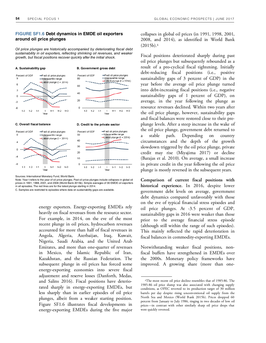## **FIGURE SF1.6 Debt dynamics in EMDE oil exporters around oil price plunges**

Oil price plunges are historically accompanied by deteriorating fiscal debt sustainability in oil exporters, reflecting shrinking oil revenues, and weaker growth, but fiscal positions recover quickly after the initial shock.



#### **C. Overall fiscal balance D. Credit to the private sector**



Sources: International Monetary Fund, World Bank.

Note: Year t refers to the year of oil price plunges. Past oil price plunges include collapses in global oil prices in 1991, 1998, 2001, and 2008 (World Bank 2015b). Simple averages of 36 EMDE oil exporters in all episodes. The red lines are for the latest plunge starting in 2014.

C. Samples are restricted to episodes where data on sustainability gaps are available.

energy exporters. Energy-exporting EMDEs rely heavily on fiscal revenues from the resource sector. For example, in 2014, on the eve of the most recent plunge in oil prices, hydrocarbon revenues accounted for more than half of fiscal revenues in Angola, Algeria, Azerbaijan, Iraq, Kuwait, Nigeria, Saudi Arabia, and the United Arab Emirates, and more than one-quarter of revenues in Mexico, the Islamic Republic of Iran, Kazakhstan, and the Russian Federation. The subsequent plunge in oil prices has forced some energy-exporting economies into severe fiscal adjustment and reserve losses (Danforth, Medas, and Salins 2016). Fiscal positions have deteriorated sharply in energy-exporting EMDEs, but less sharply than in earlier episodes of oil price plunges, albeit from a weaker starting position. Figure SF1.6 illustrates fiscal developments in energy-exporting EMDEs during the five major collapses in global oil prices (in 1991, 1998, 2001, 2008, and 2014), as identified in World Bank  $(2015b).<sup>6</sup>$ 

Fiscal positions deteriorated sharply during past oil price plunges but subsequently rebounded as a result of a pro-cyclical fiscal tightening. Initially debt-reducing fiscal positions (i.e., positive sustainability gaps of 3 percent of GDP) in the year before the average oil price plunge turned into debt-increasing fiscal positions (i.e., negative sustainability gaps of 1 percent of GDP), on average, in the year following the plunge as resource revenues declined. Within two years after the oil price plunge, however, sustainability gaps and fiscal balances were restored close to their preplunge levels. After a steep increase in the wake of the oil price plunge, government debt returned to stable path. Depending on country circumstances and the depth of the growth slowdown triggered by the oil price plunge, private credit may rise (Miyajima 2017) or decline (Barajas et al. 2010). On average, a small increase in private credit in the year following the oil price plunge is mostly reversed in the subsequent years.

**Comparison of current fiscal positions with historical experience.** In 2016, despite lower government debt levels on average, government debt dynamics compared unfavorably with those on the eve of typical financial stress episodes and oil price plunges. At -3.5 percent of GDP, sustainability gaps in 2016 were weaker than those prior to the average financial stress episode (although still within the range of such episodes). This mainly reflected the rapid deterioration in fiscal balances in commodity-exporting EMDEs.

Notwithstanding weaker fiscal positions, nonfiscal buffers have strengthened in EMDEs over the 2000s. Monetary policy frameworks have improved. A growing share (more than one-

<sup>6</sup>The most recent oil price decline resembles that of 1985-86. The 1985-86 oil price slump was also associated with changing supply conditions, as OPEC reverted to its production target of 30 million barrels per day despite rising unconventional oil supply from the North Sea and Mexico (World Bank 2015b). Prices dropped 60 percent from January to July 1986, ringing in two decades of low oil prices—in contrast with other similarly sharp oil price drops that were quickly reversed.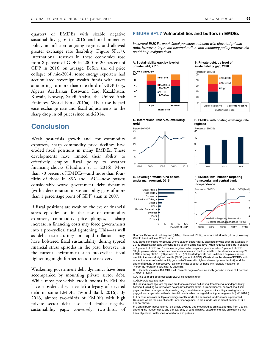quarter) of EMDEs with sizable negative sustainability gaps in 2016 anchored monetary policy in inflation-targeting regimes and allowed greater exchange rate flexibility (Figure SF1.7). International reserves in these economies rose from 8 percent of GDP in 2000 to 20 percent of GDP in 2016, on average. Before the oil price collapse of mid-2014, some energy exporters had accumulated sovereign wealth funds with assets amounting to more than one-third of GDP (e.g., Algeria, Azerbaijan, Botswana, Iraq, Kazakhstan, Kuwait, Norway, Saudi Arabia, the United Arab Emirates; World Bank 2015a). Their use helped ease exchange rate and fiscal adjustments to the sharp drop in oil prices since mid-2014.

# **Conclusion**

Weak post-crisis growth and, for commodity exporters, sharp commodity price declines have eroded fiscal positions in many EMDEs. These developments have limited their ability to effectively employ fiscal policy to weather financing shocks (Huidrom et al. 2016). More than 70 percent of EMDEs—and more than fourfifths of those in SSA and LAC—now possess considerably worse government debt dynamics (with a deterioration in sustainability gaps of more than 1 percentage point of GDP) than in 2007.

If fiscal positions are weak on the eve of financial stress episodes or, in the case of commodity exporters, commodity price plunges, a sharp increase in financing costs may force governments into a pro-cyclical fiscal tightening. This—as well as debt restructurings or rapid inflation—may have bolstered fiscal sustainability during typical financial stress episodes in the past; however, in the current environment such pro-cyclical fiscal tightening might further retard the recovery.

Weakening government debt dynamics have been accompanied by mounting private sector debt. While most post-crisis credit booms in EMDEs have subsided, they have left a legacy of elevated debt in some EMDEs (World Bank 2016). By 2016, almost two-thirds of EMDEs with high private sector debt also had sizable negative sustainability gaps; conversely, two-thirds of

#### **FIGURE SF1.7 Vulnerabilities and buffers in EMDEs**

In several EMDEs, weak fiscal positions coincide with elevated private debt. However, improved external buffers and monetary policy frameworks could help mitigate risks.







**E. Sovereign wealth fund assets under management, 2015** 

#### **D. EMDEs with floating exchange rate regimes**

Sustainability gap

Moderate

■ Elevated

M oderate negative

 $\mathbf{6}$ 

 $\overline{5}$ 

 $\overline{3}$ 

 $H$ igh

**B. Private debt, by level of sustainability gap, 2016** 

Sizable negative

Percent of EMDEs

100

80

60

4n

 $\infty$ 

 $\mathbf{0}$ 



**F. EMDEs with inflation-targeting frameworks and central bank independence**



Sources: Dincer and Eichengreen (2014), Hammond (2012), International Monetary Fund, Sovereign Wealth Fund Institute, World Bank.

A.B. Sample includes 70 EMDEs where data on sustainability gaps and private debt are available in 2016. Sustainability gaps are considered to be "sizable negative" when negative gaps are in excess of 1 percent of GDP and "moderate negative" when negative gaps are below 1 percent of GDP. "High" private debt is defined as private sector credit in the top quartile of the distribution among 70 EMDEs during 2000-16 (53 percent of GDP). "Elevated" private debt is defined as private sector credit in the second highest quartile (32-53 percent of GDP). Charts show the share of EMDEs with respective levels of sustainability gaps out of those with high or elevated private debt (A), and the share of EMDEs with respective levels of private debt out of those with "sizable negative" or "moderate negative" sustainability gaps (B).

C.-F. Sample includes 46 EMDEs with "sizable negative" sustainability gaps (in excess of 1 percent of GDP) in 2016.

C.F. The year of global recession (2009) is shaded in gray.

C. GDP-weighted average.

D. Floating exchange rate regimes are those classified as floating, free floating, or independently floating. Excluding countries with no separate legal tenders, currency boards, conventional fixed pegs, stabilized arrangements, crawling pegs, crawl-like arrangements including crawling bands, pegged exchange rates within horizontal bands, other managed (floating) arrangements (IMF 2016c). E. For countries with multiple sovereign wealth funds, the sum of all funds' assets is presented. Countries where the size of assets under management in their funds is less than 3 percent of GDP are not shown.

F. Central bank independence is a simple average and measured as an index ranging from 0 to 15, showing the independence and transparency of central banks, based on multiple criteria in central bank objectives, institutions, operations, and policies.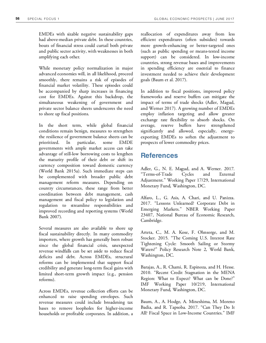EMDEs with sizable negative sustainability gaps had above-median private debt. In these countries, bouts of financial stress could curtail both private and public sector activity, with weaknesses in both amplifying each other.

While monetary policy normalization in major advanced economies will, in all likelihood, proceed smoothly, there remains a risk of episodes of financial market volatility. These episodes could be accompanied by sharp increases in financing cost for EMDEs. Against this backdrop, the simultaneous weakening of government and private sector balance sheets underscores the need to shore up fiscal positions.

In the short term, while global financial conditions remain benign, measures to strengthen the resilience of government balance sheets can be prioritized. In particular, some EMDE governments with ample market access can take advantage of still-low borrowing costs to lengthen the maturity profile of their debt or shift its currency composition toward domestic currency (World Bank 2015a). Such immediate steps can be complemented with broader public debt management reform measures. Depending on country circumstances, these range from better coordination between debt management, cash management and fiscal policy to legislation and regulation to streamline responsibilities and improved recording and reporting systems (World Bank 2007).

Several measures are also available to shore up fiscal sustainability directly. In many commodity importers, where growth has generally been robust since the global financial crisis, unexpected revenue windfalls can be set aside to reduce fiscal deficits and debt. Across EMDEs, structural reforms can be implemented that support fiscal credibility and generate long-term fiscal gains with limited short-term growth impact (e.g., pension reforms).

Across EMDEs, revenue collection efforts can be enhanced to raise spending envelopes. Such revenue measures could include broadening tax bases to remove loopholes for higher-income households or profitable corporates. In addition, a

reallocation of expenditures away from less efficient expenditures (often subsidies) towards more growth-enhancing or better-targeted ones (such as public spending or means-tested income support) can be considered. In low-income countries, strong revenue bases and improvements in spending efficiency are essential to finance investment needed to achieve their development goals (Baum et al. 2017).

In addition to fiscal positions, improved policy frameworks and reserve buffers can mitigate the impact of terms of trade shocks (Adler, Magud, and Werner 2017). A growing number of EMDEs employ inflation targeting and allow greater exchange rate flexibility to absorb shocks. On average, reserve buffers have strengthened significantly and allowed, especially, energyexporting EMDEs to soften the adjustment to prospects of lower commodity prices.

# **References**

Adler, G., N. E. Magud, and A. Werner. 2017. "Terms-of-Trade Cycles and External Adjustment." Working Paper 17/29, International Monetary Fund, Washington, DC.

Alfaro, L., G. Asis, A. Chari, and U. Panizza. 2017. "Lessons Unlearned? Corporate Debt in Emerging Markets." NBER Working Paper 23407, National Bureau of Economic Research, Cambridge.

Arteta, C., M. A. Kose, F. Ohnsorge, and M. Stocker. 2015. "The Coming U.S. Interest Rate Tightening Cycle: Smooth Sailing or Stormy Waters?" Policy Research Note 2, World Bank, Washington, DC.

Barajas, A., R. Chami, R. Espinoza, and H. Hesse. 2010. "Recent Credit Stagnation in the MENA Region: What to Expect? What can be Done?" IMF Working Paper 10/219, International Monetary Fund, Washington, DC.

Baum, A., A. Hodge, A. Mineshima, M. Moreno Badia, and R. Tapsoba. 2017. "Can They Do It All? Fiscal Space in Low-Income Countries." IMF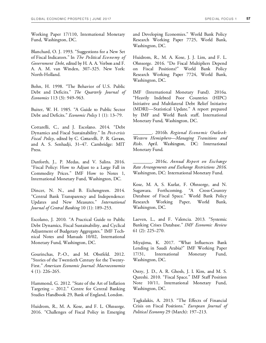Working Paper 17/110, International Monetary Fund, Washington, DC.

Blanchard, O. J. 1993. "Suggestions for a New Set of Fiscal Indicators." In *The Political Economy of Government Debt*, edited by H. A. A. Verbon and F. A. A. M. van Winden, 307–325. New York: North-Holland.

Bohn, H. 1998. "The Behavior of U.S. Public Debt and Deficits." *The Quarterly Journal of Economics* 113 (3): 949–963.

Buiter, W. H. 1985. "A Guide to Public Sector Debt and Deficits." *Economic Policy* 1 (1): 13–79.

Cottarelli, C., and J. Escolano. 2014. "Debt Dynamics and Fiscal Sustainability." In *Post-crisis Fiscal Policy*, edited by C. Cottarelli, P. R. Gerson, and A. S. Senhadji, 31–47. Cambridge: MIT Press.

Danforth, J., P. Medas, and V. Salins. 2016. "Fiscal Policy: How to Adjust to a Large Fall in Commodity Prices." IMF How to Notes 1, International Monetary Fund, Washington, DC.

Dincer, N. N., and B. Eichengreen. 2014. "Central Bank Transparency and Independence: Updates and New Measures." *International Journal of Central Banking* 10 (1): 189–253.

Escolano, J. 2010. "A Practical Guide to Public Debt Dynamics, Fiscal Sustainability, and Cyclical Adjustment of Budgetary Aggregates." IMF Technical Notes and Manuals 10/02, International Monetary Fund, Washington, DC.

Gourinchas, P.-O., and M. Obstfeld. 2012. "Stories of the Twentieth Century for the Twenty-First." *American Economic Journal: Macroeconomics* 4 (1): 226–265.

Hammond, G. 2012. "State of the Art of Inflation Targeting – 2012." Centre for Central Banking Studies Handbook 29, Bank of England, London.

Huidrom, R., M. A. Kose, and F. L. Ohnsorge. 2016. "Challenges of Fiscal Policy in Emerging and Developing Economies." World Bank Policy Research Working Paper 7725, World Bank, Washington, DC.

Huidrom, R., M. A. Kose, J. J. Lim, and F. L. Ohnsorge. 2016. "Do Fiscal Multipliers Depend on Fiscal Positions?" World Bank Policy Research Working Paper 7724, World Bank, Washington, DC.

IMF (International Monetary Fund). 2016a. "Heavily Indebted Poor Countries (HIPC) Initiative and Multilateral Debt Relief Initiative (MDRI)—Statistical Update." A report prepared by IMF and World Bank staff, International Monetary Fund, Washington, DC.

\_\_\_\_\_\_\_\_. 2016b. *Regional Economic Outlook: Western Hemisphere—Managing Transitions and Risks*. April. Washington, DC: International Monetary Fund.

\_\_\_\_\_\_\_\_. 2016c. *Annual Report on Exchange Rate Arrangements and Exchange Restrictions 2016*. Washington, DC: International Monetary Fund.

Kose, M. A, S. Kurlat, F. Ohnsorge, and N. Sugawara. Forthcoming. "A Cross-Country Database of Fiscal Space." World Bank Policy Research Working Paper, World Bank, Washington, DC.

Laeven, L., and F. Valencia. 2013. "Systemic Banking Crises Database." *IMF Economic Review* 61 (2): 225–270.

Miyajima, K. 2017. "What Influences Bank Lending in Saudi Arabia?" IMF Working Paper 17/31, International Monetary Fund, Washington, DC.

Ostry, J. D., A. R. Ghosh, J. I. Kim, and M. S. Qureshi. 2010. "Fiscal Space." IMF Staff Position Note 10/11, International Monetary Fund, Washington, DC.

Tagkalakis, A. 2013. "The Effects of Financial Crisis on Fiscal Positions." *European Journal of Political Economy* 29 (March): 197–213.